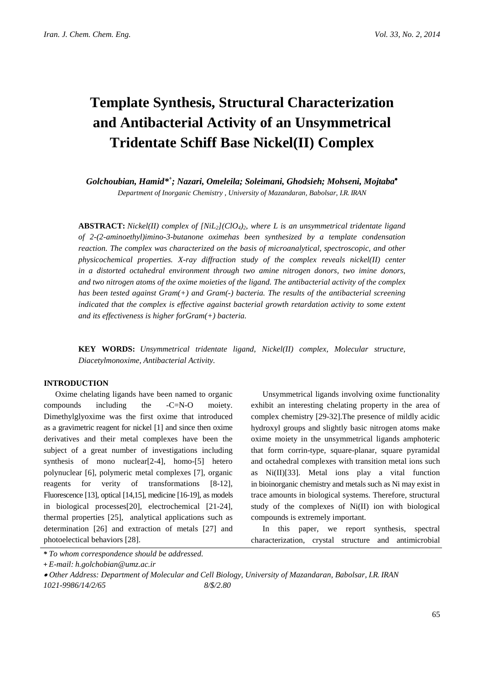# **Template Synthesis, Structural Characterization and Antibacterial Activity of an Unsymmetrical Tridentate Schiff Base Nickel(II) Complex**

*Golchoubian, Hamid\*+ ; Nazari, Omeleila; Soleimani, Ghodsieh; Mohseni, Mojtaba*• *Department of Inorganic Chemistry , University of Mazandaran, Babolsar, I.R. IRAN*

**ABSTRACT:** *Nickel(II) complex of [NiL2](ClO4)2, where L is an unsymmetrical tridentate ligand of 2-(2-aminoethyl)imino-3-butanone oximehas been synthesized by a template condensation reaction. The complex was characterized on the basis of microanalytical, spectroscopic, and other physicochemical properties. X-ray diffraction study of the complex reveals nickel(II) center in a distorted octahedral environment through two amine nitrogen donors, two imine donors, and two nitrogen atoms of the oxime moieties of the ligand. The antibacterial activity of the complex has been tested against Gram(+) and Gram(-) bacteria. The results of the antibacterial screening indicated that the complex is effective against bacterial growth retardation activity to some extent and its effectiveness is higher forGram(+) bacteria.*

**KEY WORDS:** *Unsymmetrical tridentate ligand, Nickel(II) complex, Molecular structure, Diacetylmonoxime, Antibacterial Activity.*

#### **INTRODUCTION**

Oxime chelating ligands have been named to organic compounds including the -C=N-O moiety. Dimethylglyoxime was the first oxime that introduced as a gravimetric reagent for nickel [1] and since then oxime derivatives and their metal complexes have been the subject of a great number of investigations including synthesis of mono nuclear[2-4], homo-[5] hetero polynuclear [6], polymeric metal complexes [7], organic reagents for verity of transformations [8-12], Fluorescence [13], optical [14,15], medicine [16-19], as models in biological processes[20], electrochemical [21-24], thermal properties [25], analytical applications such as determination [26] and extraction of metals [27] and photoelectical behaviors [28].

Unsymmetrical ligands involving oxime functionality exhibit an interesting chelating property in the area of complex chemistry [29-32].The presence of mildly acidic hydroxyl groups and slightly basic nitrogen atoms make oxime moiety in the unsymmetrical ligands amphoteric that form corrin-type, square-planar, square pyramidal and octahedral complexes with transition metal ions such as Ni(II)[33]. Metal ions play a vital function in bioinorganic chemistry and metals such as Ni may exist in trace amounts in biological systems. Therefore, structural study of the complexes of Ni(II) ion with biological compounds is extremely important.

In this paper, we report synthesis, spectral characterization, crystal structure and antimicrobial

*<sup>\*</sup> To whom correspondence should be addressed.*

**<sup>+</sup>** *E-mail: h.golchobian@umz.ac.ir*

<sup>•</sup> *Other Address: Department of Molecular and Cell Biology, University of Mazandaran, Babolsar, I.R. IRAN 1021-9986/14/2/65 8/\$/2.80*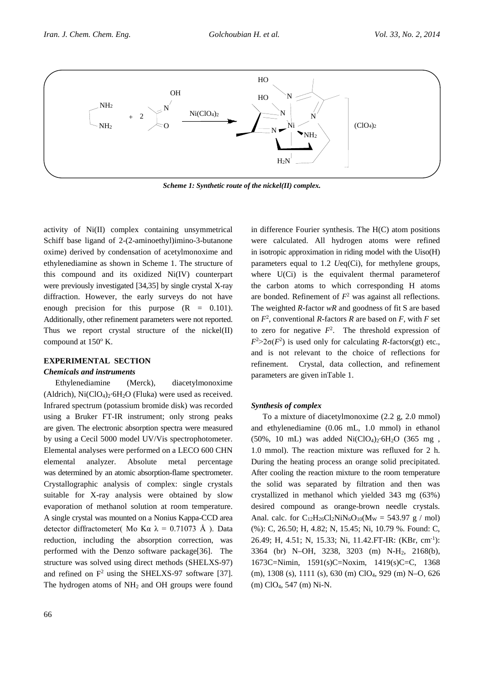

*Scheme 1: Synthetic route of the nickel(II) complex.*

activity of Ni(II) complex containing unsymmetrical Schiff base ligand of 2-(2-aminoethyl)imino-3-butanone oxime) derived by condensation of acetylmonoxime and ethylenediamine as shown in Scheme 1. The structure of this compound and its oxidized Ni(IV) counterpart were previously investigated [34,35] by single crystal X-ray diffraction. However, the early surveys do not have enough precision for this purpose  $(R = 0.101)$ . Additionally, other refinement parameters were not reported. Thus we report crystal structure of the nickel(II) compound at 150° K.

#### **EXPERIMENTAL SECTION**

#### *Chemicals and instruments*

Ethylenediamine (Merck), diacetylmonoxime (Aldrich),  $Ni(CIO<sub>4</sub>)<sub>2</sub>·6H<sub>2</sub>O$  (Fluka) were used as received. Infrared spectrum (potassium bromide disk) was recorded using a Bruker FT-IR instrument; only strong peaks are given. The electronic absorption spectra were measured by using a Cecil 5000 model UV/Vis spectrophotometer. Elemental analyses were performed on a LECO 600 CHN elemental analyzer. Absolute metal percentage was determined by an atomic absorption-flame spectrometer. Crystallographic analysis of complex: single crystals suitable for X-ray analysis were obtained by slow evaporation of methanol solution at room temperature. A single crystal was mounted on a Nonius Kappa-CCD area detector diffractometer( Μο Κα  $\lambda = 0.71073$  Å ). Data reduction, including the absorption correction, was performed with the Denzo software package[36]. The structure was solved using direct methods (SHELXS-97) and refined on  $F^2$  using the SHELXS-97 software [37]. The hydrogen atoms of NH<sub>2</sub> and OH groups were found in difference Fourier synthesis. The H(C) atom positions were calculated. All hydrogen atoms were refined in isotropic approximation in riding model with the Uiso(H) parameters equal to 1.2 *U*eq(Ci), for methylene groups, where U(Ci) is the equivalent thermal parameter of the carbon atoms to which corresponding H atoms are bonded. Refinement of  $F<sup>2</sup>$  was against all reflections. The weighted *R*-factor *wR* and goodness of fit S are based on  $F^2$ , conventional *R*-factors *R* are based on *F*, with *F* set to zero for negative  $F^2$ . The threshold expression of  $F^2 > 2\sigma(F^2)$  is used only for calculating *R*-factors(gt) etc., and is not relevant to the choice of reflections for refinement. Crystal, data collection, and refinement parameters are given inTable 1.

#### *Synthesis of complex*

To a mixture of diacetylmonoxime (2.2 g, 2.0 mmol) and ethylenediamine (0.06 mL, 1.0 mmol) in ethanol (50%, 10 mL) was added  $Ni(CIO<sub>4</sub>)<sub>2</sub>·6H<sub>2</sub>O$  (365 mg, 1.0 mmol). The reaction mixture was refluxed for 2 h. During the heating process an orange solid precipitated. After cooling the reaction mixture to the room temperature the solid was separated by filtration and then was crystallized in methanol which yielded 343 mg (63%) desired compound as orange-brown needle crystals. Anal. calc. for  $C_{12}H_{26}Cl_2NiN_6O_{10}(M_W = 543.97 \text{ g} / \text{mol})$ (%): C, 26.50; H, 4.82; N, 15.45; Ni, 10.79 %. Found: C, 26.49; H, 4.51; N, 15.33; Ni, 11.42.FT-IR: (KBr, cm-1 ): 3364 (br) N–OH, 3238, 3203 (m) N-H2, 2168(b), 1673C=Nimin, 1591(s)C=Noxim, 1419(s)C=C, 1368 (m), 1308 (s), 1111 (s), 630 (m) ClO4, 929 (m) N–O, 626 (m) ClO4, 547 (m) Ni-N.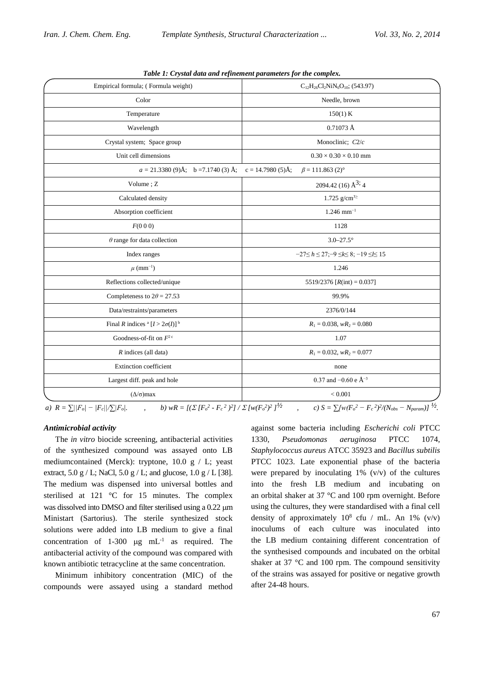| abie 11 Crysuu aana ana refinement parameters for the complexi<br>Empirical formula; (Formula weight)<br>$C_{12}H_{26}Cl_2NiN_6O_{10}$ ; (543.97) |                                                           |  |  |
|---------------------------------------------------------------------------------------------------------------------------------------------------|-----------------------------------------------------------|--|--|
| Color                                                                                                                                             | Needle, brown                                             |  |  |
|                                                                                                                                                   |                                                           |  |  |
| Temperature                                                                                                                                       | 150(1) K                                                  |  |  |
| Wavelength                                                                                                                                        | $0.71073$ Å                                               |  |  |
| Crystal system; Space group                                                                                                                       | Monoclinic; C2/c                                          |  |  |
| Unit cell dimensions                                                                                                                              | $0.30 \times 0.30 \times 0.10$ mm                         |  |  |
| $a = 21.3380(9)$ Å; b = 7.1740(3)Å;                                                                                                               | $c = 14.7980(5)$ Å;<br>$\beta$ = 111.863 (2) <sup>o</sup> |  |  |
| Volume; Z                                                                                                                                         | 2094.42 (16) $\AA^{3}$ ; 4                                |  |  |
| Calculated density                                                                                                                                | 1.725 g/cm <sup>32</sup>                                  |  |  |
| Absorption coefficient                                                                                                                            | $1.246$ mm <sup>-1</sup>                                  |  |  |
| F(000)                                                                                                                                            | 1128                                                      |  |  |
| $\theta$ range for data collection                                                                                                                | $3.0 - 27.5^{\circ}$                                      |  |  |
| Index ranges                                                                                                                                      | $-27 \le h \le 27; -9 \le k \le 8; -19 \le l \le 15$      |  |  |
| $\mu$ (mm <sup>-1</sup> )                                                                                                                         | 1.246                                                     |  |  |
| Reflections collected/unique<br>5519/2376 [ $R(int) = 0.037$ ]                                                                                    |                                                           |  |  |
| Completeness to $2\theta = 27.53$                                                                                                                 | 99.9%                                                     |  |  |
| Data/restraints/parameters                                                                                                                        | 2376/0/144                                                |  |  |
| Final R indices $^a [I > 2\sigma(I)]^b$                                                                                                           | $R_1 = 0.038$ , $wR_2 = 0.080$                            |  |  |
| Goodness-of-fit on $F^2$ <sup>c</sup>                                                                                                             | 1.07                                                      |  |  |
| $R$ indices (all data)                                                                                                                            | $R_1 = 0.032$ , $wR_2 = 0.077$                            |  |  |
| <b>Extinction</b> coefficient                                                                                                                     | none                                                      |  |  |
| Largest diff. peak and hole                                                                                                                       | 0.37 and $-0.60$ e $\AA^{-3}$                             |  |  |
| $(\Delta/\sigma)$ max                                                                                                                             | < 0.001                                                   |  |  |
|                                                                                                                                                   | $\overline{ }$                                            |  |  |

*Table 1: Crystal data and refinement parameters for the complex.*

a)  $R = \sum ||F_o| - |F_c||/\sum |F_o|$ .<br>
b)  $wR = \left[ (\sum [F_o^2 - F_c^2)^2]/\sum [w(F_o^2)^2] \right]^{1/2}$ , c)  $S = \sum [w(F_o^2 - F_c^2)^2/(N_{obs} - N_{param})]^{1/2}$ .

#### *Antimicrobial activity*

The *in vitro* biocide screening, antibacterial activities of the synthesized compound was assayed onto LB mediumcontained (Merck): tryptone, 10.0 g / L; yeast extract,  $5.0 \text{ g}$  / L; NaCl,  $5.0 \text{ g}$  / L; and glucose,  $1.0 \text{ g}$  / L [38]. The medium was dispensed into universal bottles and sterilised at 121 °C for 15 minutes. The complex was dissolved into DMSO and filter sterilised using a 0.22  $\mu$ m Ministart (Sartorius). The sterile synthesized stock solutions were added into LB medium to give a final concentration of  $1-300 \text{ µg} \text{ mL}^{-1}$  as required. The antibacterial activity of the compound was compared with known antibiotic tetracycline at the same concentration.

Minimum inhibitory concentration (MIC) of the compounds were assayed using a standard method

against some bacteria including *Escherichi coli* PTCC 1330, *Pseudomonas aeruginosa* PTCC 1074, *Staphylococcus aureus* ATCC 35923 and *Bacillus subtilis* PTCC 1023. Late exponential phase of the bacteria were prepared by inoculating  $1\%$  (v/v) of the cultures into the fresh LB medium and incubating on an orbital shaker at 37 °C and 100 rpm overnight. Before using the cultures, they were standardised with a final cell density of approximately  $10^8$  cfu / mL. An 1% (v/v) inoculums of each culture was inoculated into the LB medium containing different concentration of the synthesised compounds and incubated on the orbital shaker at 37 °C and 100 rpm. The compound sensitivity of the strains was assayed for positive or negative growth after 24-48 hours.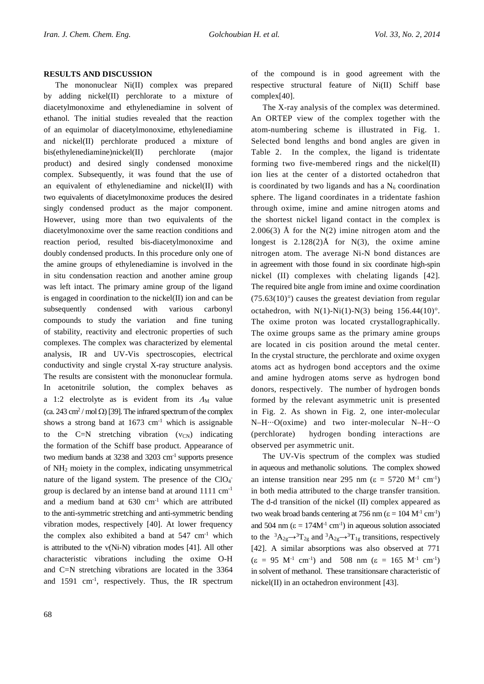## **RESULTS AND DISCUSSION**

The mononuclear Ni(II) complex was prepared by adding nickel(II) perchlorate to a mixture of diacetylmonoxime and ethylenediamine in solvent of ethanol. The initial studies revealed that the reaction of an equimolar of diacetylmonoxime, ethylenediamine and nickel(II) perchlorate produced a mixture of bis(ethylenediamine)nickel(II) perchlorate (major product) and desired singly condensed monoxime complex. Subsequently, it was found that the use of an equivalent of ethylenediamine and nickel(II) with two equivalents of diacetylmonoxime produces the desired singly condensed product as the major component. However, using more than two equivalents of the diacetylmonoxime over the same reaction conditions and reaction period, resulted bis-diacetylmonoxime and doubly condensed products. In this procedure only one of the amine groups of ethylenediamine is involved in the in situ condensation reaction and another amine group was left intact. The primary amine group of the ligand is engaged in coordination to the nickel(II) ion and can be subsequently condensed with various carbonyl compounds to study the variation and fine tuning of stability, reactivity and electronic properties of such complexes. The complex was characterized by elemental analysis, IR and UV-Vis spectroscopies, electrical conductivity and single crystal X-ray structure analysis. The results are consistent with the mononuclear formula. In acetonitrile solution, the complex behaves as a 1:2 electrolyte as is evident from its  $\Lambda_M$  value (ca. 243 cm<sup>2</sup> / mol  $\Omega$ ) [39]. The infrared spectrum of the complex shows a strong band at  $1673 \text{ cm}^{-1}$  which is assignable to the C=N stretching vibration  $(v_{CN})$  indicating the formation of the Schiff base product. Appearance of two medium bands at 3238 and 3203 cm-1 supports presence of NH2 moiety in the complex, indicating unsymmetrical nature of the ligand system. The presence of the  $ClO<sub>4</sub>$ group is declared by an intense band at around 1111 cm-1 and a medium band at 630 cm-1 which are attributed to the anti-symmetric stretching and anti-symmetric bending vibration modes, respectively [40]. At lower frequency the complex also exhibited a band at  $547 \text{ cm}^{-1}$  which is attributed to the ν(Ni-N) vibration modes [41]. All other characteristic vibrations including the oxime O-H and C=N stretching vibrations are located in the 3364 and 1591 cm-1 , respectively. Thus, the IR spectrum of the compound is in good agreement with the respective structural feature of Ni(II) Schiff base complex[40].

The X-ray analysis of the complex was determined. An ORTEP view of the complex together with the atom-numbering scheme is illustrated in Fig. 1. Selected bond lengths and bond angles are given in Table 2. In the complex, the ligand is tridentate forming two five-membered rings and the nickel(II) ion lies at the center of a distorted octahedron that is coordinated by two ligands and has a  $N_6$  coordination sphere. The ligand coordinates in a tridentate fashion through oxime, imine and amine nitrogen atoms and the shortest nickel ligand contact in the complex is  $2.006(3)$  Å for the N(2) imine nitrogen atom and the longest is  $2.128(2)$ Å for N(3), the oxime amine nitrogen atom. The average Ni-N bond distances are in agreement with those found in six coordinate high-spin nickel (II) complexes with chelating ligands [42]. The required bite angle from imine and oxime coordination  $(75.63(10)°)$  causes the greatest deviation from regular octahedron, with  $N(1)$ - $Ni(1)$ - $N(3)$  being 156.44(10)°. The oxime proton was located crystallographically. The oxime groups same as the primary amine groups are located in cis position around the metal center. In the crystal structure, the perchlorate and oxime oxygen atoms act as hydrogen bond acceptors and the oxime and amine hydrogen atoms serve as hydrogen bond donors, respectively. The number of hydrogen bonds formed by the relevant asymmetric unit is presented in Fig. 2. As shown in Fig. 2, one inter-molecular N–H···O(oxime) and two inter-molecular N–H···O (perchlorate) hydrogen bonding interactions are observed per asymmetric unit.

The UV-Vis spectrum of the complex was studied in aqueous and methanolic solutions. The complex showed an intense transition near 295 nm ( $\varepsilon = 5720$  M<sup>-1</sup> cm<sup>-1</sup>) in both media attributed to the charge transfer transition. The d-d transition of the nickel (II) complex appeared as two weak broad bands centering at 756 nm ( $\varepsilon = 104$  M<sup>-1</sup> cm<sup>-1</sup>) and 504 nm ( $\varepsilon = 174M^{-1}$  cm<sup>-1</sup>) in aqueous solution associated to the <sup>3</sup> $A_{2g} \rightarrow {}^{3}T_{2g}$  and <sup>3</sup> $A_{2g} \rightarrow {}^{3}T_{1g}$  transitions, respectively [42]. A similar absorptions was also observed at 771  $(\epsilon = 95 \text{ M}^{-1} \text{ cm}^{-1})$  and 508 nm  $(\epsilon = 165 \text{ M}^{-1} \text{ cm}^{-1})$ in solvent of methanol. These transitionsare characteristic of nickel(II) in an octahedron environment [43].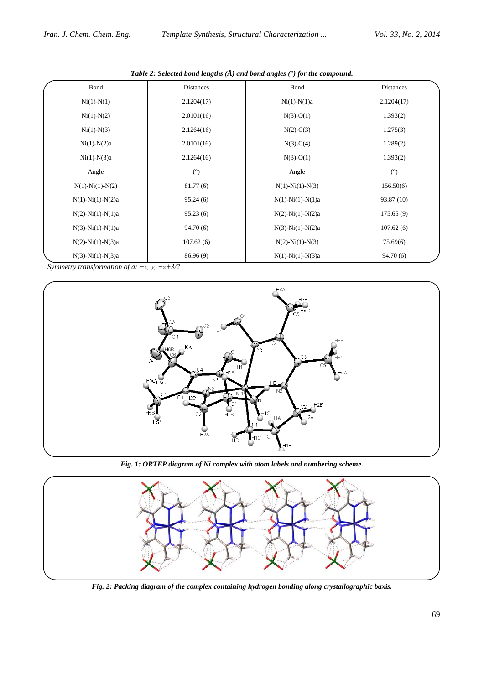| Bond                       | <b>Distances</b> | <b>B</b> ond               | Distances  |  |
|----------------------------|------------------|----------------------------|------------|--|
| $Ni(1)-N(1)$               | 2.1204(17)       | $Ni(1)-N(1)a$              | 2.1204(17) |  |
| $Ni(1)-N(2)$               | 2.0101(16)       | $N(3)-O(1)$                | 1.393(2)   |  |
| $Ni(1)-N(3)$               | 2.1264(16)       | $N(2)-C(3)$                | 1.275(3)   |  |
| $Ni(1)-N(2)a$              | 2.0101(16)       | $N(3)-C(4)$                | 1.289(2)   |  |
| $Ni(1)-N(3)a$              | 2.1264(16)       | $N(3)-O(1)$                | 1.393(2)   |  |
| Angle                      | (°)              | Angle                      | (°)        |  |
| $N(1) - Ni(1) - N(2)$      | 81.77(6)         | $N(1)$ - $Ni(1)$ - $N(3)$  | 156.50(6)  |  |
| $N(1) - Ni(1) - N(2)a$     | 95.24(6)         | $N(1) - Ni(1) - N(1)a$     | 93.87 (10) |  |
| $N(2)$ - $Ni(1)$ - $N(1)a$ | 95.23(6)         | $N(2) - Ni(1) - N(2)a$     | 175.65(9)  |  |
| $N(3)$ - $Ni(1)$ - $N(1)a$ | 94.70(6)         | $N(3)$ - $Ni(1)$ - $N(2)a$ | 107.62(6)  |  |
| $N(2) - Ni(1) - N(3)a$     | 107.62(6)        | $N(2)$ - $Ni(1)$ - $N(3)$  | 75.69(6)   |  |
| $N(3)$ - $Ni(1)$ - $N(3)a$ | 86.96 (9)        | $N(1) - Ni(1) - N(3)a$     | 94.70(6)   |  |

*Table 2: Selected bond lengths (Å) and bond angles (°) for the compound.*

 *Symmetry transformation of a: −x, y, −z+3/2*



*Fig. 1: ORTEP diagram of Ni complex with atom labels and numbering scheme.*



*Fig. 2: Packing diagram of the complex containing hydrogen bonding along crystallographic baxis.*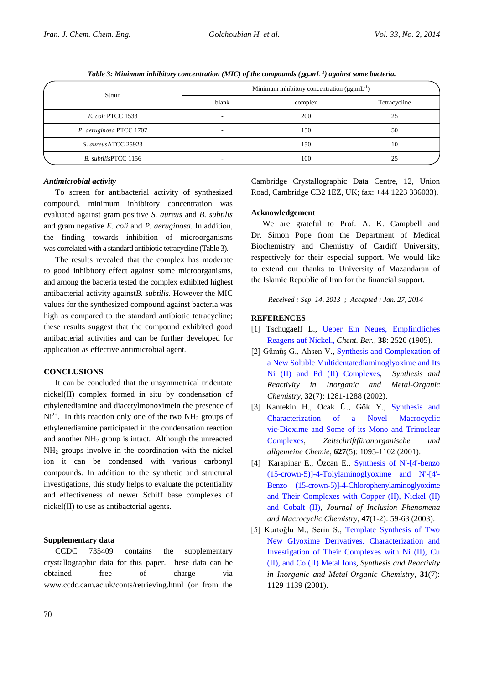*Table 3: Minimum inhibitory concentration (MIC) of the compounds (* $\mu$ *g.mL<sup>-1</sup>) against some bacteria.* 

| Strain                   | Minimum inhibitory concentration $(\mu g.mL^{-1})$ |         |              |
|--------------------------|----------------------------------------------------|---------|--------------|
|                          | blank                                              | complex | Tetracycline |
| <i>E. coli PTCC</i> 1533 |                                                    | 200     | 25           |
| P. aeruginosa PTCC 1707  |                                                    | 150     | 50           |
| S. aureusATCC 25923      |                                                    | 150     | 10           |
| B. subtilisPTCC 1156     |                                                    | 100     | 25           |

## *Antimicrobial activity*

To screen for antibacterial activity of synthesized compound, minimum inhibitory concentration was evaluated against gram positive *S. aureus* and *B. subtilis* and gram negative *E. coli* and *P. aeruginosa*. In addition, the finding towards inhibition of microorganisms was correlated with a standard antibiotic tetracycline (Table 3).

The results revealed that the complex has moderate to good inhibitory effect against some microorganisms, and among the bacteria tested the complex exhibited highest antibacterial activity against*B. subtilis*. However the MIC values for the synthesized compound against bacteria was high as compared to the standard antibiotic tetracycline; these results suggest that the compound exhibited good antibacterial activities and can be further developed for application as effective antimicrobial agent.

## **CONCLUSIONS**

It can be concluded that the unsymmetrical tridentate nickel(II) complex formed in situ by condensation of ethylenediamine and diacetylmonoximein the presence of  $Ni<sup>2+</sup>$ . In this reaction only one of the two NH<sub>2</sub> groups of ethylenediamine participated in the condensation reaction and another NH2 group is intact. Although the unreacted NH2 groups involve in the coordination with the nickel ion it can be condensed with various carbonyl compounds. In addition to the synthetic and structural investigations, this study helps to evaluate the potentiality and effectiveness of newer Schiff base complexes of nickel(II) to use as antibacterial agents.

# **Supplementary data**

CCDC 735409 contains the supplementary crystallographic data for this paper. These data can be obtained free of charge via [www.ccdc.cam.ac.uk/conts/retrieving.html](http://www.ccdc.cam.ac.uk/conts/retrieving.html) (or from the

Cambridge Crystallographic Data Centre, 12, Union Road, Cambridge CB2 1EZ, UK; fax: +44 1223 336033).

## **Acknowledgement**

We are grateful to Prof. A. K. Campbell and Dr. Simon Pope from the Department of Medical Biochemistry and Chemistry of Cardiff University, respectively for their especial support. We would like to extend our thanks to University of Mazandaran of the Islamic Republic of Iran for the financial support.

*Received : Sep. 14, 2013 ; Accepted : Jan. 27, 2014*

# **REFERENCES**

- [1] Tschugaeff L.[,](http://onlinelibrary.wiley.com/doi/10.1002/cber.19050380317/abstract) [Ueber Ein Neues, Empfindliches](http://onlinelibrary.wiley.com/doi/10.1002/cber.19050380317/abstract)  [Reagens auf Nickel.,](http://onlinelibrary.wiley.com/doi/10.1002/cber.19050380317/abstract) *Chent. Ber.*, **38**: 2520 (1905).
- [2] Gümüş G., Ahsen V., [Synthesis and Complexation of](http://www.tandfonline.com/doi/abs/10.1081/SIM-120014855)  [a New Soluble Multidentatediaminoglyoxime and Its](http://www.tandfonline.com/doi/abs/10.1081/SIM-120014855)  [Ni \(II\) and Pd \(II\) Complexes,](http://www.tandfonline.com/doi/abs/10.1081/SIM-120014855) *Synthesis and Reactivity in Inorganic and Metal-Organic Chemistry*, **32**(7): 1281-1288 (2002).
- [3] Kantekin H., Ocak Ü., Gök Y., [Synthesis and](http://onlinelibrary.wiley.com/doi/10.1002/1521-3749(200105)627:5%3C1095::AID-ZAAC1095%3E3.0.CO;2-L/abstract)  [Characterization of a Novel Macrocyclic](http://onlinelibrary.wiley.com/doi/10.1002/1521-3749(200105)627:5%3C1095::AID-ZAAC1095%3E3.0.CO;2-L/abstract)  vic‐[Dioxime and Some of its Mono and Trinuclear](http://onlinelibrary.wiley.com/doi/10.1002/1521-3749(200105)627:5%3C1095::AID-ZAAC1095%3E3.0.CO;2-L/abstract)  [Complexes,](http://onlinelibrary.wiley.com/doi/10.1002/1521-3749(200105)627:5%3C1095::AID-ZAAC1095%3E3.0.CO;2-L/abstract) *Zeitschriftfüranorganische und allgemeine Chemie*, **627**(5): 1095-1102 (2001).
- [4] Karapinar E., Özcan E., [Synthesis of N'-\[4'-benzo](http://link.springer.com/article/10.1023/B:JIPH.0000003926.35770.2c%23page-1)  [\(15-crown-5\)\]-4-Tolylaminoglyoxime and N'-\[4'-](http://link.springer.com/article/10.1023/B:JIPH.0000003926.35770.2c%23page-1) [Benzo \(15-crown-5\)\]-4-Chlorophenylaminoglyoxime](http://link.springer.com/article/10.1023/B:JIPH.0000003926.35770.2c%23page-1) [and Their Complexes with Copper \(II\), Nickel \(II\)](http://link.springer.com/article/10.1023/B:JIPH.0000003926.35770.2c%23page-1)  [and Cobalt \(II\),](http://link.springer.com/article/10.1023/B:JIPH.0000003926.35770.2c%23page-1) *Journal of Inclusion Phenomena and Macrocyclic Chemistry*, **47**(1-2): 59-63 (2003).
- [5] Kurtoğlu M., Serin S., [Template Synthesis of Two](http://www.tandfonline.com/doi/abs/10.1081/SIM-100106853)  [New Glyoxime Derivatives. Characterization and](http://www.tandfonline.com/doi/abs/10.1081/SIM-100106853) [Investigation of Their Complexes with Ni \(II\), Cu](http://www.sciencedirect.com/science/article/pii/S0030401806011849)  [\(II\), and Co \(II\) Metal Ions,](http://www.sciencedirect.com/science/article/pii/S0030401806011849) *Synthesis and Reactivity in Inorganic and Metal-Organic Chemistry*, **31**(7): 1129-1139 (2001).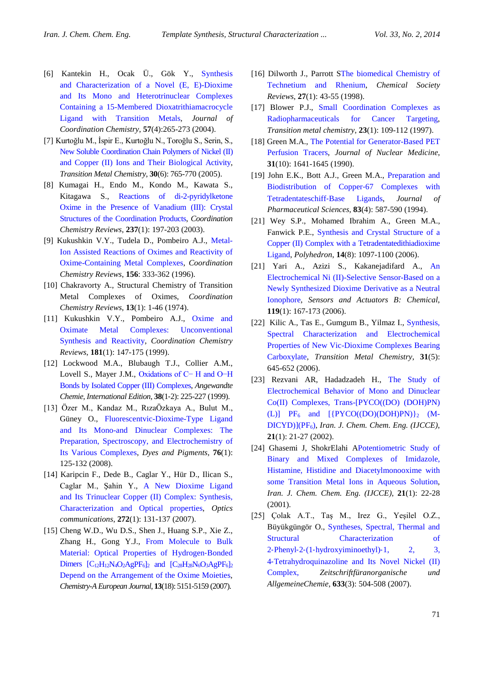- [6] Kantekin H., Ocak Ü., Gök Y., [Synthesis](http://www.tandfonline.com/doi/abs/10.1080/00958970310001629091)  [and Characterization of a Novel \(E, E\)-Dioxime](http://www.tandfonline.com/doi/abs/10.1080/00958970310001629091)  [and Its Mono and Heterotrinuclear Complexes](http://www.tandfonline.com/doi/abs/10.1080/00958970310001629091)  [Containing a 15-Membered Dioxatrithiamacrocycle](http://www.tandfonline.com/doi/abs/10.1080/00958970310001629091)  [Ligand with Transition Metals,](http://www.tandfonline.com/doi/abs/10.1080/00958970310001629091) *Journal of Coordination Chemistry*, **57**(4):265-273 (2004).
- [7] Kurtoğlu M., İspir E., Kurtoğlu N., Toroğlu S., Serin, S., [New Soluble Coordination Chain Polymers of Nickel \(II\)](http://link.springer.com/article/10.1007/s11243-005-6273-7) [and Copper \(II\) Ions and Their Biological Activity,](http://link.springer.com/article/10.1007/s11243-005-6273-7) *Transition Metal Chemistry*, **30**(6): 765-770 (2005).
- [8] Kumagai H., Endo M., Kondo M., Kawata S., Kitagawa S., [Reactions of di-2-pyridylketone](http://www.sciencedirect.com/science/article/pii/S0010854502002461)  [Oxime in the Presence of Vanadium \(III\): Crystal](http://www.sciencedirect.com/science/article/pii/S0010854502002461)  [Structures of the Coordination Products,](http://www.sciencedirect.com/science/article/pii/S0010854502002461) *Coordination Chemistry Reviews*, **237**(1): 197-203 (2003).
- [9] Kukushkin V.Y., Tudela D., Pombeiro A.J., [Metal-](http://www.sciencedirect.com/science/article/pii/0010854595012346)[Ion Assisted Reactions of Oximes and Reactivity of](http://www.sciencedirect.com/science/article/pii/0010854595012346)  [Oxime-Containing Metal Complexes,](http://www.sciencedirect.com/science/article/pii/0010854595012346) *Coordination Chemistry Reviews*, **156**: 333-362 (1996).
- [10] Chakravorty A., Structural Chemistry of Transition Metal Complexes of Oximes, *Coordination Chemistry Reviews*, **13**(1): 1-46 (1974).
- [11] Kukushkin V.Y., Pombeiro A.J., Oxime and [Oximate Metal Complexes: Unconventional](http://www.sciencedirect.com/science/article/pii/S001085459800215X)  [Synthesis and Reactivity,](http://www.sciencedirect.com/science/article/pii/S001085459800215X) *Coordination Chemistry Reviews*, **181**(1): 147-175 (1999).
- [12] Lockwood M.A., Blubaugh T.J., Collier A.M., Lovell S., Mayer J.M., [Oxidations of C− H and O−H](http://onlinelibrary.wiley.com/doi/10.1002/(SICI)1521-3773(19990115)38:1/2%3C225::AID-ANIE225%3E3.0.CO;2-U/abstract)  [Bonds by Isolated Copper \(III\) Complexes,](http://onlinelibrary.wiley.com/doi/10.1002/(SICI)1521-3773(19990115)38:1/2%3C225::AID-ANIE225%3E3.0.CO;2-U/abstract) *Angewandte Chemie, International Edition*, **38**(1‐2): 225-227 (1999).
- [13] Özer M., Kandaz M., RızaÖzkaya A., Bulut M., Güney O., [Fluorescentvic-Dioxime-Type Ligand](http://www.sciencedirect.com/science/article/pii/S0143720806003378)  [and Its Mono-and Dinuclear Complexes: The](http://www.sciencedirect.com/science/article/pii/S0143720806003378)  [Preparation, Spectroscopy, and Electrochemistry of](http://www.sciencedirect.com/science/article/pii/S0143720806003378)  [Its Various Complexes,](http://www.sciencedirect.com/science/article/pii/S0143720806003378) *Dyes and Pigments*, **76**(1): 125-132 (2008).
- [14] Karipcin F., Dede B., Caglar Y., Hür D., Ilican S., Caglar M., Şahin Y., [A New Dioxime Ligand](http://www.sciencedirect.com/science/article/pii/S0030401806011849) [and Its Trinuclear Copper \(II\) Complex: Synthesis,](http://www.tandfonline.com/doi/abs/10.1081/SIM-100106853)  [Characterization and Optical properties,](http://www.tandfonline.com/doi/abs/10.1081/SIM-100106853) *Optics communications*, **272**(1): 131-137 (2007).
- [15] Cheng W.D., Wu D.S., Shen J., Huang S.P., Xie Z., Zhang H., Gong Y.J., [From Molecule to Bulk](http://onlinelibrary.wiley.com/doi/10.1002/chem.200601190/full)  [Material: Optical Properties of Hydrogen](http://onlinelibrary.wiley.com/doi/10.1002/chem.200601190/full)‐Bonded Dimers  $[C_{12}H_{12}N_4O_2AgPF_6]_2$  and  $[C_{28}H_{28}N_6O_3AgPF_6]_2$ [Depend on the Arrangement of the Oxime Moieties,](http://onlinelibrary.wiley.com/doi/10.1002/chem.200601190/full) *Chemistry-A European Journal*, **13**(18): 5151-5159 (2007).
- [16] Dilworth J., Parrott SThe biomedical Chemistry of [Technetium and Rhenium,](http://pubs.rsc.org/en/content/articlelanding/1998/cs/a827043z) *Chemical Society Reviews*, **27**(1): 43-55 (1998).
- [17] Blower P.J., Small Coordination Complexes as [Radiopharmaceuticals for Cancer Targeting,](http://www.springerlink.com/index/H4UR24432841005V.pdf) *Transition metal chemistry*, **23**(1): 109-112 (1997).
- [18] Green M.A., The Potential for Generator-Based PET [Perfusion Tracers,](http://jnm.snmjournals.org/content/31/10/1641.full.pdf) *Journal of Nuclear Medicine*, **31**(10): 1641-1645 (1990).
- [19] John E.K., Bott A.J., Green M.A., Preparation and [Biodistribution of Copper](http://onlinelibrary.wiley.com/doi/10.1002/jps.2600830429/abstract)‐67 Complexes with [Tetradentateschiff](http://onlinelibrary.wiley.com/doi/10.1002/jps.2600830429/abstract)‐Base Ligands, *Journal of Pharmaceutical Sciences*, **83**(4): 587-590 (1994).
- [21] Wey S.P., Mohamed Ibrahim A., Green M.A., Fanwick P.E., [Synthesis and Crystal Structure of a](http://www.sciencedirect.com/science/article/pii/027753879400333A)  Copper (II) [Complex with a Tetradentatedithiadioxime](http://www.sciencedirect.com/science/article/pii/027753879400333A)  [Ligand,](http://www.sciencedirect.com/science/article/pii/027753879400333A) *Polyhedron*, **14**(8): 1097-1100 (2006).
- [21] Yari A., Azizi S., Kakanejadifard A., [An](http://www.sciencedirect.com/science/article/pii/S0925400505009536)  [Electrochemical Ni \(II\)-Selective Sensor-Based on a](http://www.sciencedirect.com/science/article/pii/S0925400505009536)  [Newly Synthesized Dioxime Derivative as a Neutral](http://www.sciencedirect.com/science/article/pii/S0925400505009536)  [Ionophore,](http://www.sciencedirect.com/science/article/pii/S0925400505009536) *Sensors and Actuators B: Chemical*, **119**(1): 167-173 (2006).
- [22] Kilic A., Tas E., Gumgum B., Yilmaz I., Synthesis, [Spectral Characterization and Electrochemical](http://link.springer.com/article/10.1007/s11243-006-0043-z)  [Properties of New Vic-Dioxime Complexes Bearing](http://link.springer.com/article/10.1007/s11243-006-0043-z)  [Carboxylate,](http://link.springer.com/article/10.1007/s11243-006-0043-z) *Transition Metal Chemistry*, **31**(5): 645-652 (2006).
- [23] Rezvani AR, Hadadzadeh H., [The Study of](http://www.sid.ir/en/VEWSSID/J_pdf/84320050203.pdf)  [Electrochemical Behavior of Mono and Dinuclear](http://www.sid.ir/en/VEWSSID/J_pdf/84320050203.pdf)  [Co\(II\) Complexes, Trans-\[PYCO\(\(DO\) \(DOH\)PN\)](http://www.sid.ir/en/VEWSSID/J_pdf/84320050203.pdf)  (L)]  $PF_6$  and  $[\{PYCO((DO)(DOH)PN)\}_2$  (M-DICYD)](PF<sub>6</sub>), *Iran. J. Chem. Chem. Eng. (IJCCE)*, **21**(1): 21-27 (2002).
- [24] Ghasemi J, ShokrElahi [APotentiometric Study of](http://en.journals.sid.ir/ViewPaper.aspx?ID=17522)  [Binary and Mixed Complexes of Imidazole,](http://en.journals.sid.ir/ViewPaper.aspx?ID=17522) [Histamine, Histidine and Diacetylmonooxime with](http://en.journals.sid.ir/ViewPaper.aspx?ID=17522)  [some Transition Metal Ions in Aqueous Solution,](http://en.journals.sid.ir/ViewPaper.aspx?ID=17522) *Iran. J. Chem. Chem. Eng. (IJCCE)*, **21**(1): 22-28 (2001).
- [25] Çolak A.T., Taş M., Irez G., Yeşilel O.Z., Büyükgüngör O., [Syntheses, Spectral, Thermal and](http://onlinelibrary.wiley.com/doi/10.1002/zaac.200600343/abstract)  [Structural Characterization of](http://onlinelibrary.wiley.com/doi/10.1002/zaac.200600343/abstract)  2‐Phenyl‐2‐(1‐[hydroxyiminoethyl\)](http://onlinelibrary.wiley.com/doi/10.1002/zaac.200600343/abstract)‐1, 2, 3, 4‐[Tetrahydroquinazoline and Its Novel Nickel \(II\)](http://onlinelibrary.wiley.com/doi/10.1002/zaac.200600343/abstract)  [Complex,](http://onlinelibrary.wiley.com/doi/10.1002/zaac.200600343/abstract) *Zeitschriftfüranorganische und AllgemeineChemie*, **633**(3): 504-508 (2007).